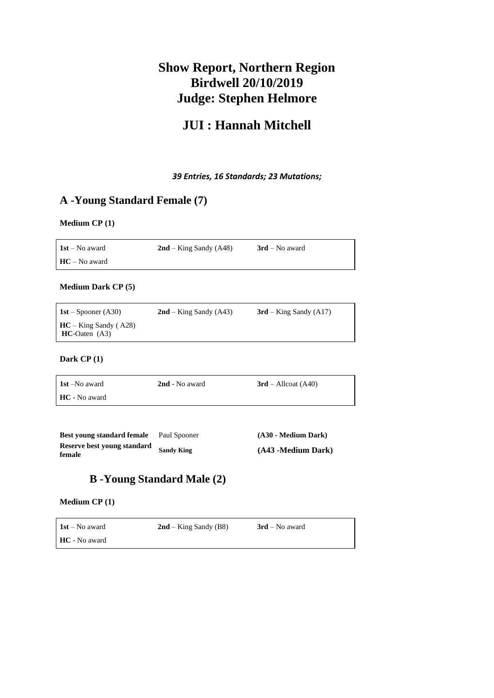# **Show Report, Northern Region Birdwell 20/10/2019 Judge: Stephen Helmore**

# **JUI : Hannah Mitchell**

*39 Entries, 16 Standards; 23 Mutations;* 

## **A -Young Standard Female (7)**

### **Medium CP (1)**

| $1st - No$ award | $2nd - King$ Sandy (A48) | $3rd$ – No award |
|------------------|--------------------------|------------------|
| $HC - No$ award  |                          |                  |

#### **Medium Dark CP (5)**

| <b>1st</b> – Spooner (A30)                    | $2nd - King$ Sandy (A43) | $3rd - King$ Sandy (A17) |
|-----------------------------------------------|--------------------------|--------------------------|
| $HC - King$ Sandy (A28)<br>$HC$ -Oaten $(A3)$ |                          |                          |

#### **Dark CP (1)**

| <b>1st</b> –No award | 2nd - No award | $3rd$ – Allcoat (A40) |
|----------------------|----------------|-----------------------|
| <b>HC</b> - No award |                |                       |

| Best young standard female            | Paul Spooner      | (A30 - Medium Dark) |
|---------------------------------------|-------------------|---------------------|
| Reserve best young standard<br>female | <b>Sandy King</b> | (A43 -Medium Dark)  |

## **B -Young Standard Male (2)**

#### **Medium CP (1)**

| $1st - No$ award | $2nd - King$ Sandy (B8) | $3rd$ – No award |
|------------------|-------------------------|------------------|
| HC - No award    |                         |                  |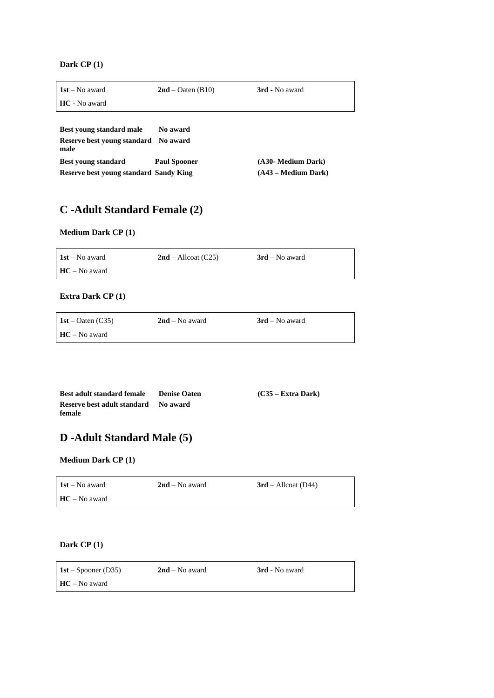**Dark CP (1)**

| $1st - No$ award                       | $2nd - Oaten (B10)$ | 3rd - No award        |
|----------------------------------------|---------------------|-----------------------|
| HC - No award                          |                     |                       |
|                                        |                     |                       |
| Best young standard male               | No award            |                       |
| Reserve best young standard<br>male    | No award            |                       |
| <b>Best young standard</b>             | <b>Paul Spooner</b> | (A30- Medium Dark)    |
| Reserve best young standard Sandy King |                     | $(A43 - Medium Dark)$ |

# **C -Adult Standard Female (2)**

### **Medium Dark CP (1)**

| $1st - No$ award | $2nd$ – Allcoat (C25) | $3rd$ – No award |
|------------------|-----------------------|------------------|
| $HC - No$ award  |                       |                  |

#### **Extra Dark CP (1)**

| 1st – Oaten (C35) | $2nd$ – No award | $3rd$ – No award |
|-------------------|------------------|------------------|
| $HC - No$ award   |                  |                  |

| Best adult standard female         | <b>Denise Oaten</b> | $(C35 - Extra Dark)$ |
|------------------------------------|---------------------|----------------------|
| <b>Reserve best adult standard</b> | No award            |                      |
| female                             |                     |                      |

# **D -Adult Standard Male (5)**

#### **Medium Dark CP (1)**

| $1st - No$ award | $2nd$ – No award | $3rd$ – Allcoat (D44) |
|------------------|------------------|-----------------------|
| $HC - No$ award  |                  |                       |

#### **Dark CP (1)**

| 1st – Spooner (D35) | $2nd$ – No award | 3rd - No award |
|---------------------|------------------|----------------|
| $HC - No$ award     |                  |                |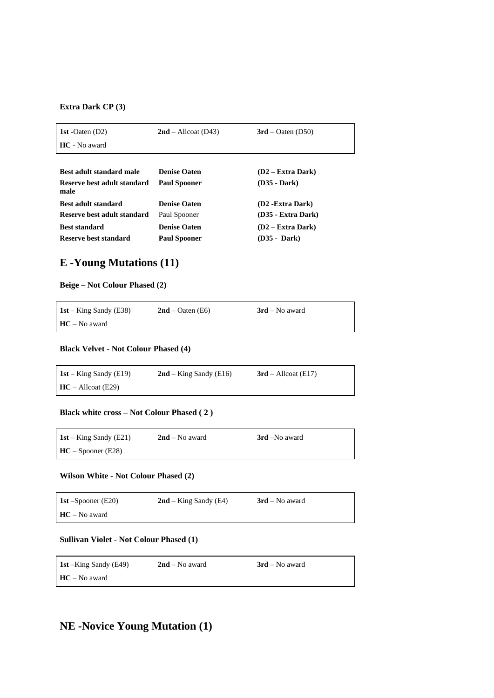#### **Extra Dark CP (3)**

| 1st - Oaten $(D2)$                  | $2nd$ – Allcoat (D43) | $3rd - Oaten (D50)$ |
|-------------------------------------|-----------------------|---------------------|
| HC - No award                       |                       |                     |
|                                     |                       |                     |
| Best adult standard male            | <b>Denise Oaten</b>   | $(D2 - Extra Dark)$ |
| Reserve best adult standard<br>male | <b>Paul Spooner</b>   | (D35 - Dark)        |
| Best adult standard                 | <b>Denise Oaten</b>   | (D2 - Extra Dark)   |
| Reserve best adult standard         | Paul Spooner          | (D35 - Extra Dark)  |
| <b>Best standard</b>                | <b>Denise Oaten</b>   | $(D2 - Extra Dark)$ |
| Reserve best standard               | <b>Paul Spooner</b>   | (D35 - Dark)        |

# **E -Young Mutations (11)**

#### **Beige – Not Colour Phased (2)**

| 1st – King Sandy (E38) | $2nd - Oaten (E6)$ | $3rd$ – No award |
|------------------------|--------------------|------------------|
| $HC - No$ award        |                    |                  |

#### **Black Velvet - Not Colour Phased (4)**

| 1st – King Sandy (E19) | $2nd - King$ Sandy (E16) | $3rd$ – Allcoat (E17) |
|------------------------|--------------------------|-----------------------|
| $HC - All coat (E29)$  |                          |                       |

#### **Black white cross – Not Colour Phased ( 2 )**

| 1st – King Sandy (E21) | $2nd$ – No award | 3rd –No award |
|------------------------|------------------|---------------|
| $HC - Spooner (E28)$   |                  |               |

#### **Wilson White - Not Colour Phased (2)**

| 1st $-Spooner$ (E20) | $2nd - King$ Sandy (E4) | $3rd$ – No award |
|----------------------|-------------------------|------------------|
| $HC - No$ award      |                         |                  |

#### **Sullivan Violet - Not Colour Phased (1)**

| 1st – King Sandy (E49) | $2nd - No$ award | $3rd$ – No award |
|------------------------|------------------|------------------|
| $HC - No$ award        |                  |                  |

## **NE -Novice Young Mutation (1)**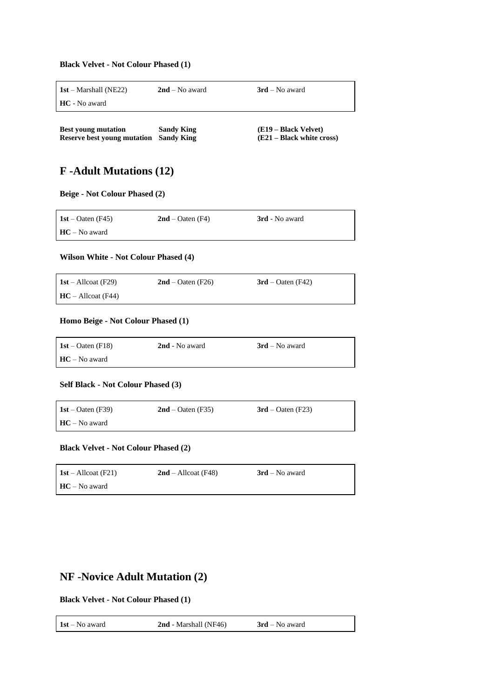#### **Black Velvet - Not Colour Phased (1)**

| $1st$ – Marshall (NE22)                                          | $2nd - No$ award                       | $3rd$ – No award                                  |
|------------------------------------------------------------------|----------------------------------------|---------------------------------------------------|
| <b>HC</b> - No award                                             |                                        |                                                   |
|                                                                  |                                        |                                                   |
| <b>Best young mutation</b><br><b>Reserve best young mutation</b> | <b>Sandy King</b><br><b>Sandy King</b> | (E19 – Black Velvet)<br>(E21 – Black white cross) |

### **F -Adult Mutations (12)**

**Beige - Not Colour Phased (2)**

| 1st – Oaten (F45) | $2nd - Oaten (F4)$ | 3rd - No award |
|-------------------|--------------------|----------------|
| $HC - No$ award   |                    |                |

#### **Wilson White - Not Colour Phased (4)**

| 1st – Allcoat (F29)   | $2nd - Oaten$ (F26) | $3rd - Oaten (F42)$ |
|-----------------------|---------------------|---------------------|
| $HC - All coat (F44)$ |                     |                     |

#### **Homo Beige - Not Colour Phased (1)**

| 1st – Oaten (F18) | 2nd - No award | $3rd$ – No award |
|-------------------|----------------|------------------|
| $HC - No$ award   |                |                  |

#### **Self Black - Not Colour Phased (3)**

| $1st - Oaten$ (F39) | $2nd - Oaten$ (F35) | $3rd$ – Oaten (F23) |
|---------------------|---------------------|---------------------|
| $HC - No$ award     |                     |                     |

#### **Black Velvet - Not Colour Phased (2)**

| <b>1st</b> – Allcoat (F21) | $2nd$ – Allcoat (F48) | $3rd$ – No award |
|----------------------------|-----------------------|------------------|
| $HC - No$ award            |                       |                  |

### **NF -Novice Adult Mutation (2)**

**Black Velvet - Not Colour Phased (1)**

| $1st - No$ award | <b>2nd</b> - Marshall (NF46) | $3rd$ – No award |
|------------------|------------------------------|------------------|
|                  |                              |                  |